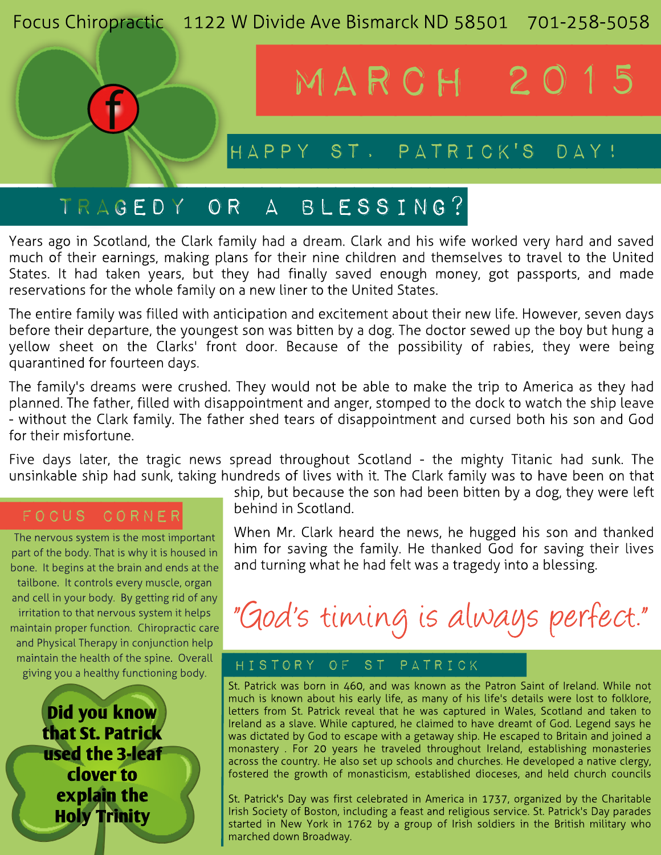

# Years ago in Scotland, the Clark family had a dream. Clark and his wife worked very hard and saved much of their earnings, making plans for their nine children and themselves to travel to the United States. It had taken years, but they had finally saved enough money, got passports, and made

reservations for the whole family on a new liner to the United States.

The entire family was filled with anticipation and excitement about their new life. However, seven days before their departure, the youngest son was bitten by a dog. The doctor sewed up the boy but hung a yellow sheet on the Clarks' front door. Because of the possibility of rabies, they were being quarantined for fourteen days.

The family's dreams were crushed. They would not be able to make the trip to America as they had planned. The father, filled with disappointment and anger, stomped to the dock to watch the ship leave - without the Clark family. The father shed tears of disappointment and cursed both his son and God for their misfortune.

Five days later, the tragic news spread throughout Scotland - the mighty Titanic had sunk. The unsinkable ship had sunk, taking hundreds of lives with it. The Clark family was to have been on that

## FOCUS CORNER

The nervous system is the most important part of the body. That is why it is housed in bone. It begins at the brain and ends at the tailbone. It controls every muscle, organ and cell in your body. By getting rid of any irritation to that nervous system it helps maintain proper function. Chiropractic care and Physical Therapy in conjunction help maintain the health of the spine. Overall giving you a healthy functioning body.

> Did you know that St. Patrick used the 3-leaf clover to explain the Holy Trinity

ship, but because the son had been bitten by a dog, they were left behind in Scotland.

When Mr. Clark heard the news, he hugged his son and thanked him for saving the family. He thanked God for saving their lives and turning what he had felt was a tragedy into a blessing.

# "God's timing is always perfect."

### **hi st or y of st Pat r i ck**

St. Patrick was born in 460, and was known as the Patron Saint of Ireland. While not much is known about his early life, as many of his life's details were lost to folklore, letters from St. Patrick reveal that he was captured in Wales, Scotland and taken to Ireland as a slave. While captured, he claimed to have dreamt of God. Legend says he was dictated by God to escape with a getaway ship. He escaped to Britain and joined a monastery . For 20 years he traveled throughout Ireland, establishing monasteries across the country. He also set up schools and churches. He developed a native clergy, fostered the growth of monasticism, established dioceses, and held church councils

St. Patrick's Day was first celebrated in America in 1737, organized by the Charitable Irish Society of Boston, including a feast and religious service. St. Patrick's Day parades started in New York in 1762 by a group of Irish soldiers in the British military who marched down Broadway.